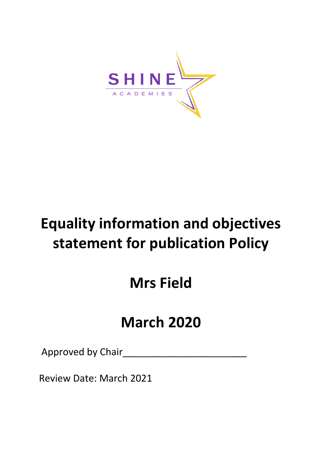

# **Equality information and objectives statement for publication Policy**

# **Mrs Field**

# **March 2020**

Approved by Chair\_\_\_\_\_\_\_\_\_\_\_\_\_\_\_\_\_\_\_\_\_\_\_

Review Date: March 2021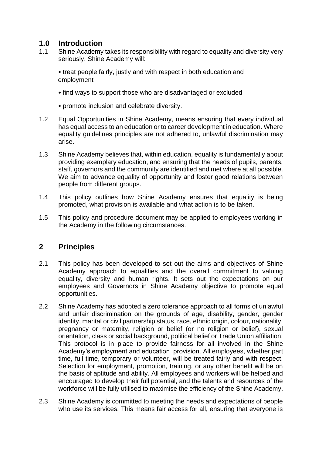# **1.0 Introduction**

1.1 Shine Academy takes its responsibility with regard to equality and diversity very seriously. Shine Academy will:

• treat people fairly, justly and with respect in both education and employment

- find ways to support those who are disadvantaged or excluded
- promote inclusion and celebrate diversity.
- 1.2 Equal Opportunities in Shine Academy, means ensuring that every individual has equal access to an education or to career development in education. Where equality guidelines principles are not adhered to, unlawful discrimination may arise.
- 1.3 Shine Academy believes that, within education, equality is fundamentally about providing exemplary education, and ensuring that the needs of pupils, parents, staff, governors and the community are identified and met where at all possible. We aim to advance equality of opportunity and foster good relations between people from different groups.
- 1.4 This policy outlines how Shine Academy ensures that equality is being promoted, what provision is available and what action is to be taken.
- 1.5 This policy and procedure document may be applied to employees working in the Academy in the following circumstances.

### **2 Principles**

- 2.1 This policy has been developed to set out the aims and objectives of Shine Academy approach to equalities and the overall commitment to valuing equality, diversity and human rights. It sets out the expectations on our employees and Governors in Shine Academy objective to promote equal opportunities.
- 2.2 Shine Academy has adopted a zero tolerance approach to all forms of unlawful and unfair discrimination on the grounds of age, disability, gender, gender identity, marital or civil partnership status, race, ethnic origin, colour, nationality, pregnancy or maternity, religion or belief (or no religion or belief), sexual orientation, class or social background, political belief or Trade Union affiliation. This protocol is in place to provide fairness for all involved in the Shine Academy's employment and education provision. All employees, whether part time, full time, temporary or volunteer, will be treated fairly and with respect. Selection for employment, promotion, training, or any other benefit will be on the basis of aptitude and ability. All employees and workers will be helped and encouraged to develop their full potential, and the talents and resources of the workforce will be fully utilised to maximise the efficiency of the Shine Academy.
- 2.3 Shine Academy is committed to meeting the needs and expectations of people who use its services. This means fair access for all, ensuring that everyone is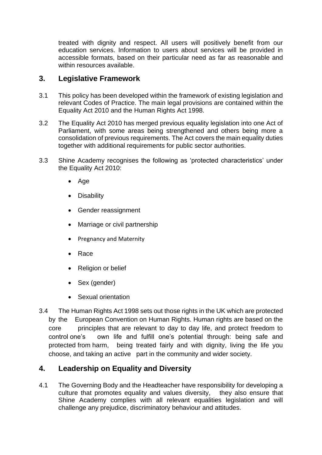treated with dignity and respect. All users will positively benefit from our education services. Information to users about services will be provided in accessible formats, based on their particular need as far as reasonable and within resources available.

# **3. Legislative Framework**

- 3.1 This policy has been developed within the framework of existing legislation and relevant Codes of Practice. The main legal provisions are contained within the Equality Act 2010 and the Human Rights Act 1998.
- 3.2 The Equality Act 2010 has merged previous equality legislation into one Act of Parliament, with some areas being strengthened and others being more a consolidation of previous requirements. The Act covers the main equality duties together with additional requirements for public sector authorities.
- 3.3 Shine Academy recognises the following as 'protected characteristics' under the Equality Act 2010:
	- Age
	- Disability
	- Gender reassignment
	- Marriage or civil partnership
	- Pregnancy and Maternity
	- Race
	- Religion or belief
	- Sex (gender)
	- Sexual orientation
- 3.4 The Human Rights Act 1998 sets out those rights in the UK which are protected by the European Convention on Human Rights. Human rights are based on the core principles that are relevant to day to day life, and protect freedom to control one's own life and fulfill one's potential through: being safe and protected from harm, being treated fairly and with dignity, living the life you choose, and taking an active part in the community and wider society.

# **4. Leadership on Equality and Diversity**

4.1 The Governing Body and the Headteacher have responsibility for developing a culture that promotes equality and values diversity, they also ensure that Shine Academy complies with all relevant equalities legislation and will challenge any prejudice, discriminatory behaviour and attitudes.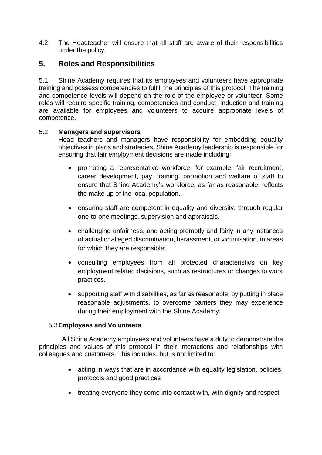4.2 The Headteacher will ensure that all staff are aware of their responsibilities under the policy.

# **5. Roles and Responsibilities**

5.1 Shine Academy requires that its employees and volunteers have appropriate training and possess competencies to fulfill the principles of this protocol. The training and competence levels will depend on the role of the employee or volunteer. Some roles will require specific training, competencies and conduct, Induction and training are available for employees and volunteers to acquire appropriate levels of competence.

#### 5.2 **Managers and supervisors**

Head teachers and managers have responsibility for embedding equality objectives in plans and strategies. Shine Academy leadership is responsible for ensuring that fair employment decisions are made including:

- promoting a representative workforce, for example; fair recruitment, career development, pay, training, promotion and welfare of staff to ensure that Shine Academy's workforce, as far as reasonable, reflects the make up of the local population.
- ensuring staff are competent in equality and diversity, through regular one-to-one meetings, supervision and appraisals.
- challenging unfairness, and acting promptly and fairly in any instances of actual or alleged discrimination, harassment, or victimisation, in areas for which they are responsible;
- consulting employees from all protected characteristics on key employment related decisions, such as restructures or changes to work practices.
- supporting staff with disabilities, as far as reasonable, by putting in place reasonable adjustments, to overcome barriers they may experience during their employment with the Shine Academy.

### 5.3**Employees and Volunteers**

All Shine Academy employees and volunteers have a duty to demonstrate the principles and values of this protocol in their interactions and relationships with colleagues and customers. This includes, but is not limited to:

- acting in ways that are in accordance with equality legislation, policies, protocols and good practices
- treating everyone they come into contact with, with dignity and respect